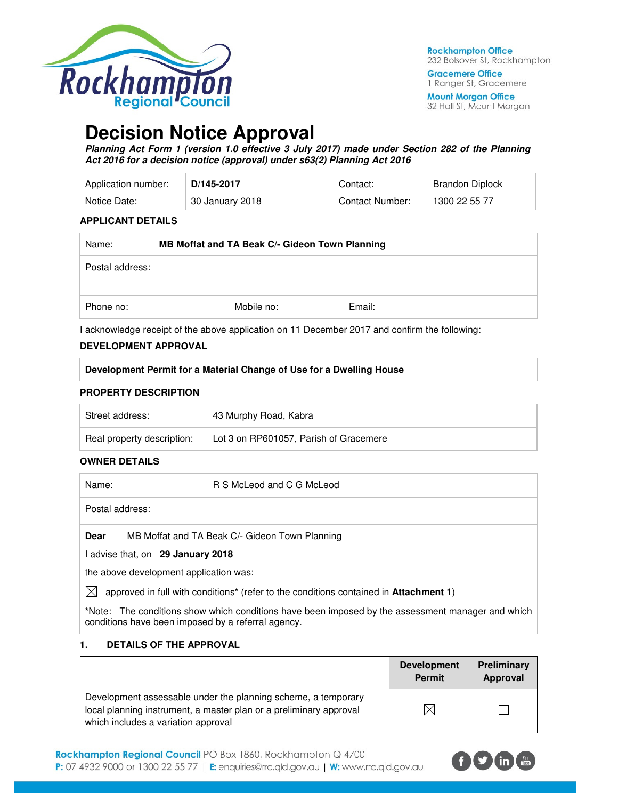

**Gracemere Office** 1 Ranger St, Gracemere

**Mount Morgan Office** 32 Hall St, Mount Morgan

# **Decision Notice Approval**

**Planning Act Form 1 (version 1.0 effective 3 July 2017) made under Section 282 of the Planning Act 2016 for a decision notice (approval) under s63(2) Planning Act 2016** 

| Application number: | D/145-2017      | Contact:        | Brandon Diplock |
|---------------------|-----------------|-----------------|-----------------|
| Notice Date:        | 30 January 2018 | Contact Number: | 1300 22 55 77   |

#### **APPLICANT DETAILS**

| Name:           | MB Moffat and TA Beak C/- Gideon Town Planning |            |        |
|-----------------|------------------------------------------------|------------|--------|
| Postal address: |                                                |            |        |
| Phone no:       |                                                | Mobile no: | Email: |

I acknowledge receipt of the above application on 11 December 2017 and confirm the following:

#### **DEVELOPMENT APPROVAL**

| Development Permit for a Material Change of Use for a Dwelling House |  |
|----------------------------------------------------------------------|--|
|                                                                      |  |

#### **PROPERTY DESCRIPTION**

| Street address:            | 43 Murphy Road, Kabra                  |
|----------------------------|----------------------------------------|
| Real property description: | Lot 3 on RP601057, Parish of Gracemere |

#### **OWNER DETAILS**

| Name:           | R S McLeod and C G McLeod                                                                                |
|-----------------|----------------------------------------------------------------------------------------------------------|
| Postal address: |                                                                                                          |
| Dear            | MB Moffat and TA Beak C/- Gideon Town Planning                                                           |
|                 | I advise that, on 29 January 2018                                                                        |
|                 | the above development application was:                                                                   |
| IXI             | approved in full with conditions <sup>*</sup> (refer to the conditions contained in <b>Attachment 1)</b> |

**\***Note:The conditions show which conditions have been imposed by the assessment manager and which conditions have been imposed by a referral agency.

#### **1. DETAILS OF THE APPROVAL**

|                                                                                                                                                                            | <b>Development</b><br><b>Permit</b> | Preliminary<br>Approval |
|----------------------------------------------------------------------------------------------------------------------------------------------------------------------------|-------------------------------------|-------------------------|
| Development assessable under the planning scheme, a temporary<br>local planning instrument, a master plan or a preliminary approval<br>which includes a variation approval |                                     |                         |

Rockhampton Regional Council PO Box 1860, Rockhampton Q 4700 P: 07 4932 9000 or 1300 22 55 77 | E: enquiries@rrc.qld.gov.au | W: www.rrc.qld.gov.au

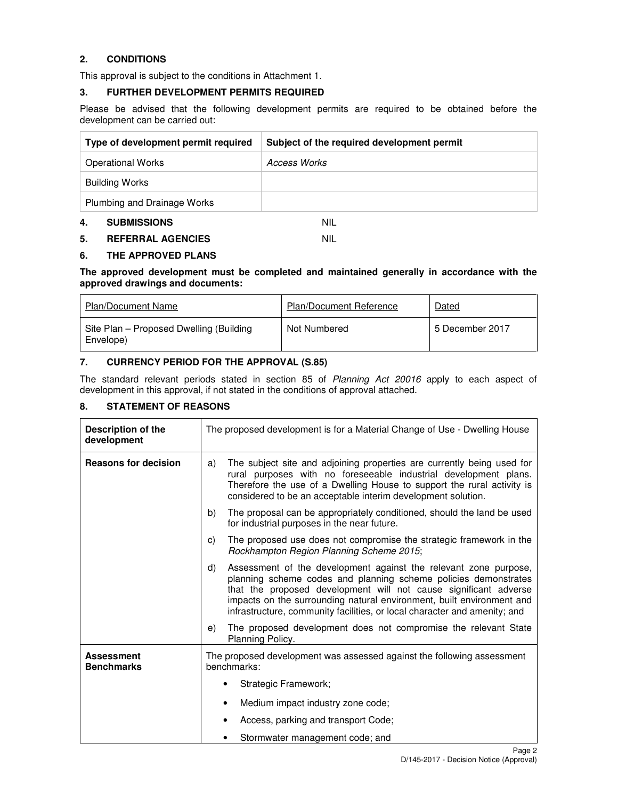# **2. CONDITIONS**

This approval is subject to the conditions in Attachment 1.

#### **3. FURTHER DEVELOPMENT PERMITS REQUIRED**

Please be advised that the following development permits are required to be obtained before the development can be carried out:

| Type of development permit required | Subject of the required development permit |
|-------------------------------------|--------------------------------------------|
| <b>Operational Works</b>            | Access Works                               |
| <b>Building Works</b>               |                                            |
| Plumbing and Drainage Works         |                                            |
| 4.<br><b>SUBMISSIONS</b>            | nil                                        |

# **5. REFERRAL AGENCIES** NIL

## **6. THE APPROVED PLANS**

#### **The approved development must be completed and maintained generally in accordance with the approved drawings and documents:**

| Plan/Document Name                                   | <b>Plan/Document Reference</b> | Dated           |
|------------------------------------------------------|--------------------------------|-----------------|
| Site Plan – Proposed Dwelling (Building<br>Envelope) | Not Numbered                   | 5 December 2017 |

## **7. CURRENCY PERIOD FOR THE APPROVAL (S.85)**

The standard relevant periods stated in section 85 of Planning Act 20016 apply to each aspect of development in this approval, if not stated in the conditions of approval attached.

# **8. STATEMENT OF REASONS**

| Description of the<br>development      | The proposed development is for a Material Change of Use - Dwelling House                                                                                                                                                                                                                                                                                           |  |
|----------------------------------------|---------------------------------------------------------------------------------------------------------------------------------------------------------------------------------------------------------------------------------------------------------------------------------------------------------------------------------------------------------------------|--|
| <b>Reasons for decision</b>            | The subject site and adjoining properties are currently being used for<br>a)<br>rural purposes with no foreseeable industrial development plans.<br>Therefore the use of a Dwelling House to support the rural activity is<br>considered to be an acceptable interim development solution.                                                                          |  |
|                                        | The proposal can be appropriately conditioned, should the land be used<br>b)<br>for industrial purposes in the near future.                                                                                                                                                                                                                                         |  |
|                                        | The proposed use does not compromise the strategic framework in the<br>C)<br>Rockhampton Region Planning Scheme 2015;                                                                                                                                                                                                                                               |  |
|                                        | Assessment of the development against the relevant zone purpose,<br>d)<br>planning scheme codes and planning scheme policies demonstrates<br>that the proposed development will not cause significant adverse<br>impacts on the surrounding natural environment, built environment and<br>infrastructure, community facilities, or local character and amenity; and |  |
|                                        | The proposed development does not compromise the relevant State<br>e)<br>Planning Policy.                                                                                                                                                                                                                                                                           |  |
| <b>Assessment</b><br><b>Benchmarks</b> | The proposed development was assessed against the following assessment<br>benchmarks:                                                                                                                                                                                                                                                                               |  |
|                                        | Strategic Framework;                                                                                                                                                                                                                                                                                                                                                |  |
|                                        | Medium impact industry zone code;                                                                                                                                                                                                                                                                                                                                   |  |
|                                        | Access, parking and transport Code;<br>٠                                                                                                                                                                                                                                                                                                                            |  |
|                                        | Stormwater management code; and<br>٠                                                                                                                                                                                                                                                                                                                                |  |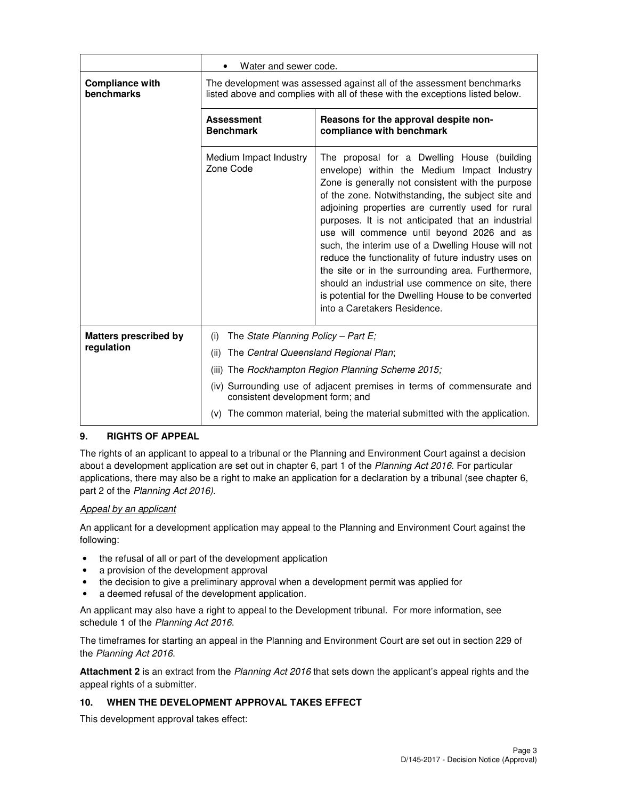|                                            | Water and sewer code.                                                                                                                                  |                                                                                                                                                                                                                                                                                                                                                                                                                                                                                                                                                                                                                                                                             |  |
|--------------------------------------------|--------------------------------------------------------------------------------------------------------------------------------------------------------|-----------------------------------------------------------------------------------------------------------------------------------------------------------------------------------------------------------------------------------------------------------------------------------------------------------------------------------------------------------------------------------------------------------------------------------------------------------------------------------------------------------------------------------------------------------------------------------------------------------------------------------------------------------------------------|--|
| <b>Compliance with</b><br>benchmarks       | The development was assessed against all of the assessment benchmarks<br>listed above and complies with all of these with the exceptions listed below. |                                                                                                                                                                                                                                                                                                                                                                                                                                                                                                                                                                                                                                                                             |  |
|                                            | <b>Assessment</b><br><b>Benchmark</b>                                                                                                                  | Reasons for the approval despite non-<br>compliance with benchmark                                                                                                                                                                                                                                                                                                                                                                                                                                                                                                                                                                                                          |  |
|                                            | Medium Impact Industry<br>Zone Code                                                                                                                    | The proposal for a Dwelling House (building<br>envelope) within the Medium Impact Industry<br>Zone is generally not consistent with the purpose<br>of the zone. Notwithstanding, the subject site and<br>adjoining properties are currently used for rural<br>purposes. It is not anticipated that an industrial<br>use will commence until beyond 2026 and as<br>such, the interim use of a Dwelling House will not<br>reduce the functionality of future industry uses on<br>the site or in the surrounding area. Furthermore,<br>should an industrial use commence on site, there<br>is potential for the Dwelling House to be converted<br>into a Caretakers Residence. |  |
| <b>Matters prescribed by</b><br>regulation | The State Planning Policy - Part E;<br>(i)                                                                                                             |                                                                                                                                                                                                                                                                                                                                                                                                                                                                                                                                                                                                                                                                             |  |
|                                            | The Central Queensland Regional Plan;<br>(ii)                                                                                                          |                                                                                                                                                                                                                                                                                                                                                                                                                                                                                                                                                                                                                                                                             |  |
|                                            | (iii)                                                                                                                                                  | The Rockhampton Region Planning Scheme 2015;                                                                                                                                                                                                                                                                                                                                                                                                                                                                                                                                                                                                                                |  |
|                                            | (iv) Surrounding use of adjacent premises in terms of commensurate and<br>consistent development form; and                                             |                                                                                                                                                                                                                                                                                                                                                                                                                                                                                                                                                                                                                                                                             |  |
| (v)                                        |                                                                                                                                                        | The common material, being the material submitted with the application.                                                                                                                                                                                                                                                                                                                                                                                                                                                                                                                                                                                                     |  |

#### **9. RIGHTS OF APPEAL**

The rights of an applicant to appeal to a tribunal or the Planning and Environment Court against a decision about a development application are set out in chapter 6, part 1 of the Planning Act 2016. For particular applications, there may also be a right to make an application for a declaration by a tribunal (see chapter 6, part 2 of the Planning Act 2016).

#### Appeal by an applicant

An applicant for a development application may appeal to the Planning and Environment Court against the following:

- the refusal of all or part of the development application
- a provision of the development approval
- the decision to give a preliminary approval when a development permit was applied for
- a deemed refusal of the development application.

An applicant may also have a right to appeal to the Development tribunal. For more information, see schedule 1 of the Planning Act 2016.

The timeframes for starting an appeal in the Planning and Environment Court are set out in section 229 of the Planning Act 2016.

**Attachment 2** is an extract from the Planning Act 2016 that sets down the applicant's appeal rights and the appeal rights of a submitter.

#### **10. WHEN THE DEVELOPMENT APPROVAL TAKES EFFECT**

This development approval takes effect: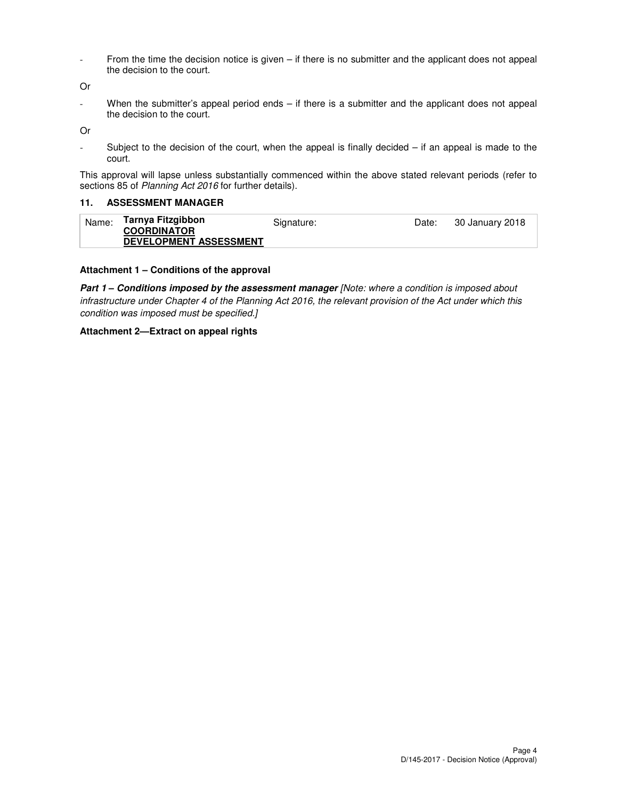- From the time the decision notice is given – if there is no submitter and the applicant does not appeal the decision to the court.

Or

- When the submitter's appeal period ends – if there is a submitter and the applicant does not appeal the decision to the court.

Or

- Subject to the decision of the court, when the appeal is finally decided – if an appeal is made to the court.

This approval will lapse unless substantially commenced within the above stated relevant periods (refer to sections 85 of Planning Act 2016 for further details).

#### **11. ASSESSMENT MANAGER**

| Name: | Tarnya Fitzgibbon<br><b>COORDINATOR</b><br><b>DEVELOPMENT ASSESSMENT</b> | Signature: | Date: | 30 January 2018 |
|-------|--------------------------------------------------------------------------|------------|-------|-----------------|
|-------|--------------------------------------------------------------------------|------------|-------|-----------------|

#### **Attachment 1 – Conditions of the approval**

Part 1 - Conditions imposed by the assessment manager [Note: where a condition is imposed about infrastructure under Chapter 4 of the Planning Act 2016, the relevant provision of the Act under which this condition was imposed must be specified.]

#### **Attachment 2—Extract on appeal rights**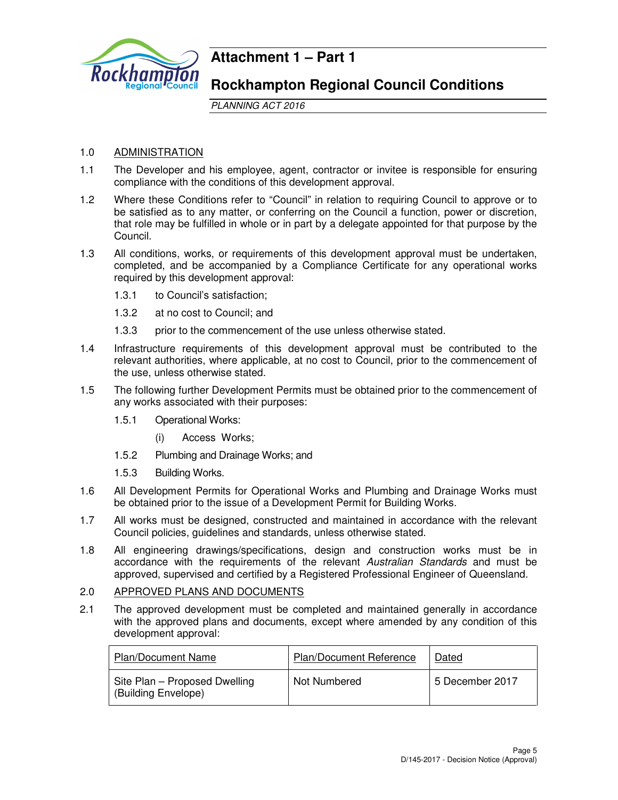

# **Attachment 1 – Part 1**

# **Rockhampton Regional Council Conditions**

PLANNING ACT 2016

# 1.0 ADMINISTRATION

- 1.1 The Developer and his employee, agent, contractor or invitee is responsible for ensuring compliance with the conditions of this development approval.
- 1.2 Where these Conditions refer to "Council" in relation to requiring Council to approve or to be satisfied as to any matter, or conferring on the Council a function, power or discretion, that role may be fulfilled in whole or in part by a delegate appointed for that purpose by the Council.
- 1.3 All conditions, works, or requirements of this development approval must be undertaken, completed, and be accompanied by a Compliance Certificate for any operational works required by this development approval:
	- 1.3.1 to Council's satisfaction;
	- 1.3.2 at no cost to Council; and
	- 1.3.3 prior to the commencement of the use unless otherwise stated.
- 1.4 Infrastructure requirements of this development approval must be contributed to the relevant authorities, where applicable, at no cost to Council, prior to the commencement of the use, unless otherwise stated.
- 1.5 The following further Development Permits must be obtained prior to the commencement of any works associated with their purposes:
	- 1.5.1 Operational Works:
		- (i) Access Works;
	- 1.5.2 Plumbing and Drainage Works; and
	- 1.5.3 Building Works.
- 1.6 All Development Permits for Operational Works and Plumbing and Drainage Works must be obtained prior to the issue of a Development Permit for Building Works.
- 1.7 All works must be designed, constructed and maintained in accordance with the relevant Council policies, guidelines and standards, unless otherwise stated.
- 1.8 All engineering drawings/specifications, design and construction works must be in accordance with the requirements of the relevant Australian Standards and must be approved, supervised and certified by a Registered Professional Engineer of Queensland.

# 2.0 APPROVED PLANS AND DOCUMENTS

2.1 The approved development must be completed and maintained generally in accordance with the approved plans and documents, except where amended by any condition of this development approval:

| <b>Plan/Document Name</b>                            | Plan/Document Reference | Dated           |
|------------------------------------------------------|-------------------------|-----------------|
| Site Plan - Proposed Dwelling<br>(Building Envelope) | Not Numbered            | 5 December 2017 |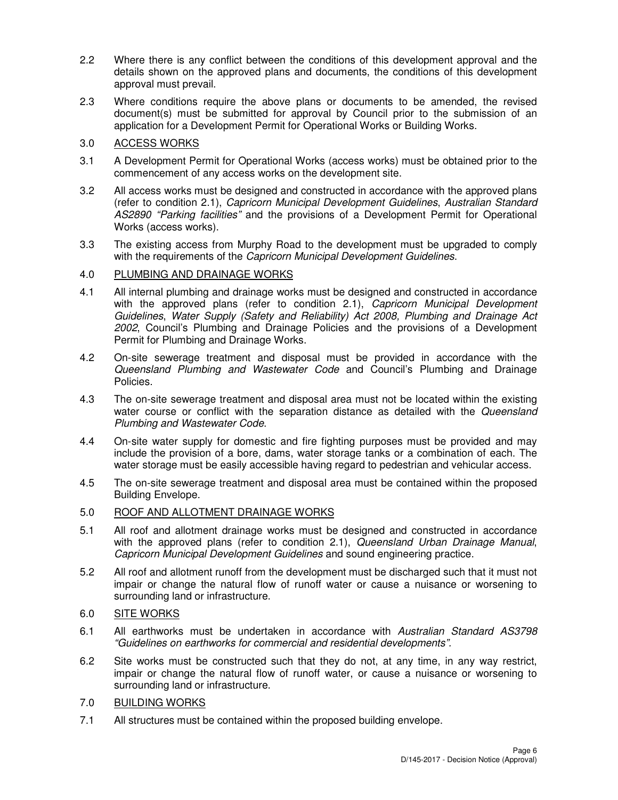- 2.2 Where there is any conflict between the conditions of this development approval and the details shown on the approved plans and documents, the conditions of this development approval must prevail.
- 2.3 Where conditions require the above plans or documents to be amended, the revised document(s) must be submitted for approval by Council prior to the submission of an application for a Development Permit for Operational Works or Building Works.

# 3.0 ACCESS WORKS

- 3.1 A Development Permit for Operational Works (access works) must be obtained prior to the commencement of any access works on the development site.
- 3.2 All access works must be designed and constructed in accordance with the approved plans (refer to condition 2.1), Capricorn Municipal Development Guidelines, Australian Standard AS2890 "Parking facilities" and the provisions of a Development Permit for Operational Works (access works).
- 3.3 The existing access from Murphy Road to the development must be upgraded to comply with the requirements of the Capricorn Municipal Development Guidelines.

# 4.0 PLUMBING AND DRAINAGE WORKS

- 4.1 All internal plumbing and drainage works must be designed and constructed in accordance with the approved plans (refer to condition 2.1), Capricorn Municipal Development Guidelines, Water Supply (Safety and Reliability) Act 2008, Plumbing and Drainage Act 2002, Council's Plumbing and Drainage Policies and the provisions of a Development Permit for Plumbing and Drainage Works.
- 4.2 On-site sewerage treatment and disposal must be provided in accordance with the Queensland Plumbing and Wastewater Code and Council's Plumbing and Drainage Policies.
- 4.3 The on-site sewerage treatment and disposal area must not be located within the existing water course or conflict with the separation distance as detailed with the Queensland Plumbing and Wastewater Code.
- 4.4 On-site water supply for domestic and fire fighting purposes must be provided and may include the provision of a bore, dams, water storage tanks or a combination of each. The water storage must be easily accessible having regard to pedestrian and vehicular access.
- 4.5 The on-site sewerage treatment and disposal area must be contained within the proposed Building Envelope.

# 5.0 ROOF AND ALLOTMENT DRAINAGE WORKS

- 5.1 All roof and allotment drainage works must be designed and constructed in accordance with the approved plans (refer to condition 2.1), Queensland Urban Drainage Manual, Capricorn Municipal Development Guidelines and sound engineering practice.
- 5.2 All roof and allotment runoff from the development must be discharged such that it must not impair or change the natural flow of runoff water or cause a nuisance or worsening to surrounding land or infrastructure.

# 6.0 SITE WORKS

- 6.1 All earthworks must be undertaken in accordance with Australian Standard AS3798 "Guidelines on earthworks for commercial and residential developments".
- 6.2 Site works must be constructed such that they do not, at any time, in any way restrict, impair or change the natural flow of runoff water, or cause a nuisance or worsening to surrounding land or infrastructure.

# 7.0 BUILDING WORKS

7.1 All structures must be contained within the proposed building envelope.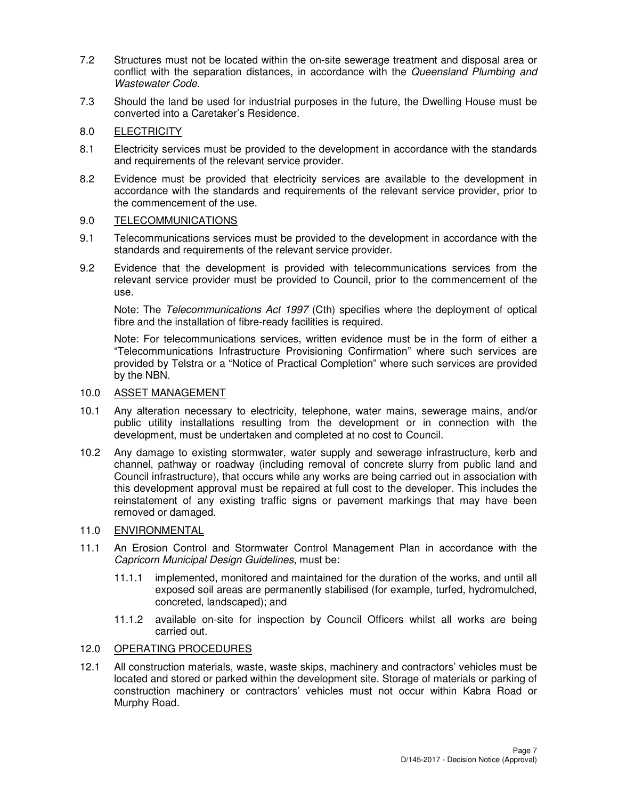- 7.2 Structures must not be located within the on-site sewerage treatment and disposal area or conflict with the separation distances, in accordance with the Queensland Plumbing and Wastewater Code.
- 7.3 Should the land be used for industrial purposes in the future, the Dwelling House must be converted into a Caretaker's Residence.

# 8.0 ELECTRICITY

- 8.1 Electricity services must be provided to the development in accordance with the standards and requirements of the relevant service provider.
- 8.2 Evidence must be provided that electricity services are available to the development in accordance with the standards and requirements of the relevant service provider, prior to the commencement of the use.

## 9.0 TELECOMMUNICATIONS

- 9.1 Telecommunications services must be provided to the development in accordance with the standards and requirements of the relevant service provider.
- 9.2 Evidence that the development is provided with telecommunications services from the relevant service provider must be provided to Council, prior to the commencement of the use.

Note: The Telecommunications Act 1997 (Cth) specifies where the deployment of optical fibre and the installation of fibre-ready facilities is required.

Note: For telecommunications services, written evidence must be in the form of either a "Telecommunications Infrastructure Provisioning Confirmation" where such services are provided by Telstra or a "Notice of Practical Completion" where such services are provided by the NBN.

# 10.0 ASSET MANAGEMENT

- 10.1 Any alteration necessary to electricity, telephone, water mains, sewerage mains, and/or public utility installations resulting from the development or in connection with the development, must be undertaken and completed at no cost to Council.
- 10.2 Any damage to existing stormwater, water supply and sewerage infrastructure, kerb and channel, pathway or roadway (including removal of concrete slurry from public land and Council infrastructure), that occurs while any works are being carried out in association with this development approval must be repaired at full cost to the developer. This includes the reinstatement of any existing traffic signs or pavement markings that may have been removed or damaged.

# 11.0 ENVIRONMENTAL

- 11.1 An Erosion Control and Stormwater Control Management Plan in accordance with the Capricorn Municipal Design Guidelines, must be:
	- 11.1.1 implemented, monitored and maintained for the duration of the works, and until all exposed soil areas are permanently stabilised (for example, turfed, hydromulched, concreted, landscaped); and
	- 11.1.2 available on-site for inspection by Council Officers whilst all works are being carried out.

# 12.0 OPERATING PROCEDURES

12.1 All construction materials, waste, waste skips, machinery and contractors' vehicles must be located and stored or parked within the development site. Storage of materials or parking of construction machinery or contractors' vehicles must not occur within Kabra Road or Murphy Road.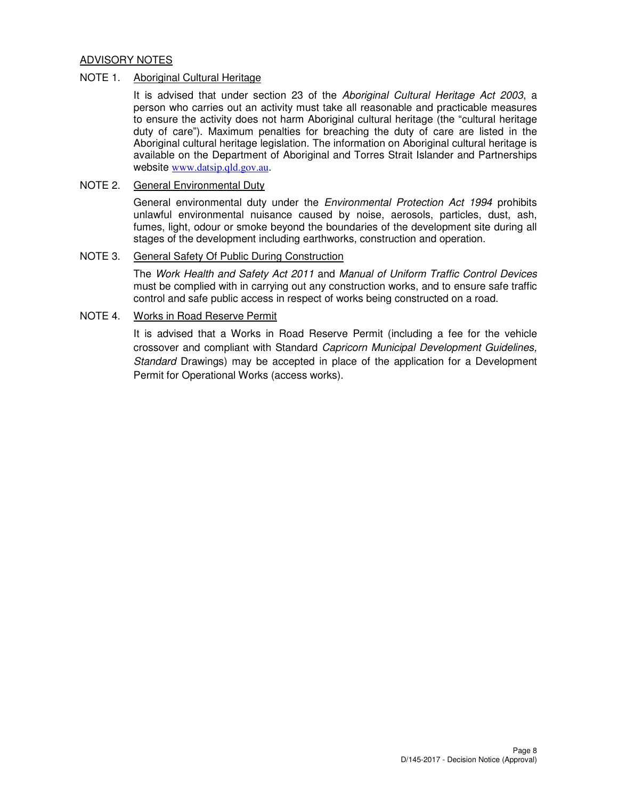# ADVISORY NOTES

#### NOTE 1. Aboriginal Cultural Heritage

It is advised that under section 23 of the Aboriginal Cultural Heritage Act 2003, a person who carries out an activity must take all reasonable and practicable measures to ensure the activity does not harm Aboriginal cultural heritage (the "cultural heritage duty of care"). Maximum penalties for breaching the duty of care are listed in the Aboriginal cultural heritage legislation. The information on Aboriginal cultural heritage is available on the Department of Aboriginal and Torres Strait Islander and Partnerships website www.datsip.qld.gov.au.

#### NOTE 2. General Environmental Duty

General environmental duty under the *Environmental Protection Act 1994* prohibits unlawful environmental nuisance caused by noise, aerosols, particles, dust, ash, fumes, light, odour or smoke beyond the boundaries of the development site during all stages of the development including earthworks, construction and operation.

## NOTE 3. General Safety Of Public During Construction

The Work Health and Safety Act 2011 and Manual of Uniform Traffic Control Devices must be complied with in carrying out any construction works, and to ensure safe traffic control and safe public access in respect of works being constructed on a road.

# NOTE 4. Works in Road Reserve Permit

It is advised that a Works in Road Reserve Permit (including a fee for the vehicle crossover and compliant with Standard Capricorn Municipal Development Guidelines, Standard Drawings) may be accepted in place of the application for a Development Permit for Operational Works (access works).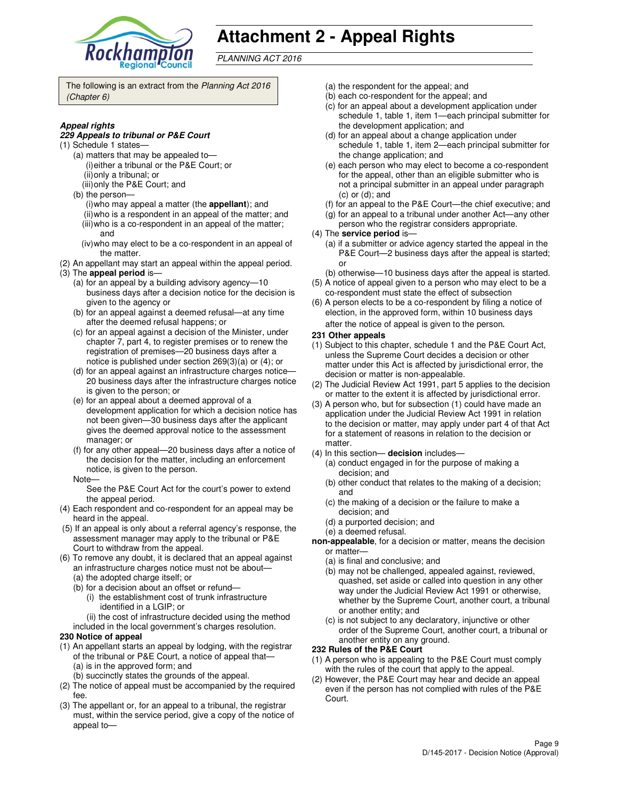

# **Attachment 2 - Appeal Rights**

PLANNING ACT 2016

The following is an extract from the Planning Act 2016 (Chapter 6)

#### **Appeal rights**

#### **229 Appeals to tribunal or P&E Court**

- (1) Schedule 1 states—
	- (a) matters that may be appealed to— (i) either a tribunal or the P&E Court; or (ii) only a tribunal; or
	- (iii) only the P&E Court; and
	- (b) the person—
		- (i) who may appeal a matter (the **appellant**); and (ii) who is a respondent in an appeal of the matter; and (iii) who is a co-respondent in an appeal of the matter;
		- and (iv) who may elect to be a co-respondent in an appeal of
- the matter. (2) An appellant may start an appeal within the appeal period.
- (3) The **appeal period** is—
	- (a) for an appeal by a building advisory agency—10 business days after a decision notice for the decision is given to the agency or
	- (b) for an appeal against a deemed refusal—at any time after the deemed refusal happens; or
	- (c) for an appeal against a decision of the Minister, under chapter 7, part 4, to register premises or to renew the registration of premises—20 business days after a notice is published under section 269(3)(a) or (4); or
	- (d) for an appeal against an infrastructure charges notice— 20 business days after the infrastructure charges notice is given to the person; or
	- (e) for an appeal about a deemed approval of a development application for which a decision notice has not been given—30 business days after the applicant gives the deemed approval notice to the assessment manager; or
	- (f) for any other appeal—20 business days after a notice of the decision for the matter, including an enforcement notice, is given to the person.
	- Note—

See the P&E Court Act for the court's power to extend the appeal period.

- (4) Each respondent and co-respondent for an appeal may be heard in the appeal.
- (5) If an appeal is only about a referral agency's response, the assessment manager may apply to the tribunal or P&E Court to withdraw from the appeal.
- (6) To remove any doubt, it is declared that an appeal against an infrastructure charges notice must not be about—
	- (a) the adopted charge itself; or
	- (b) for a decision about an offset or refund—
		- (i) the establishment cost of trunk infrastructure identified in a LGIP; or
		- (ii) the cost of infrastructure decided using the method
	- included in the local government's charges resolution.

#### **230 Notice of appeal**

- (1) An appellant starts an appeal by lodging, with the registrar of the tribunal or P&E Court, a notice of appeal that— (a) is in the approved form; and
	- (b) succinctly states the grounds of the appeal.
- (2) The notice of appeal must be accompanied by the required fee.
- (3) The appellant or, for an appeal to a tribunal, the registrar must, within the service period, give a copy of the notice of appeal to—
- (a) the respondent for the appeal; and
- (b) each co-respondent for the appeal; and
- (c) for an appeal about a development application under schedule 1, table 1, item 1—each principal submitter for the development application; and
- (d) for an appeal about a change application under schedule 1, table 1, item 2—each principal submitter for the change application; and
- (e) each person who may elect to become a co-respondent for the appeal, other than an eligible submitter who is not a principal submitter in an appeal under paragraph (c) or (d); and
- (f) for an appeal to the P&E Court—the chief executive; and
- (g) for an appeal to a tribunal under another Act—any other
- person who the registrar considers appropriate.
- (4) The **service period** is—
	- (a) if a submitter or advice agency started the appeal in the P&E Court—2 business days after the appeal is started; or
- (b) otherwise—10 business days after the appeal is started. (5) A notice of appeal given to a person who may elect to be a
- co-respondent must state the effect of subsection (6) A person elects to be a co-respondent by filing a notice of
- election, in the approved form, within 10 business days after the notice of appeal is given to the person*.*
- **231 Other appeals**
- (1) Subject to this chapter, schedule 1 and the P&E Court Act, unless the Supreme Court decides a decision or other matter under this Act is affected by jurisdictional error, the decision or matter is non-appealable.
- (2) The Judicial Review Act 1991, part 5 applies to the decision or matter to the extent it is affected by jurisdictional error.
- (3) A person who, but for subsection (1) could have made an application under the Judicial Review Act 1991 in relation to the decision or matter, may apply under part 4 of that Act for a statement of reasons in relation to the decision or matter.
- (4) In this section— **decision** includes—
	- (a) conduct engaged in for the purpose of making a decision; and
	- (b) other conduct that relates to the making of a decision; and
	- (c) the making of a decision or the failure to make a decision; and
	- (d) a purported decision; and
	- (e) a deemed refusal.
- **non-appealable**, for a decision or matter, means the decision or matter—
	- (a) is final and conclusive; and
	- (b) may not be challenged, appealed against, reviewed, quashed, set aside or called into question in any other way under the Judicial Review Act 1991 or otherwise, whether by the Supreme Court, another court, a tribunal or another entity; and
	- (c) is not subject to any declaratory, injunctive or other order of the Supreme Court, another court, a tribunal or another entity on any ground.

#### **232 Rules of the P&E Court**

- (1) A person who is appealing to the P&E Court must comply with the rules of the court that apply to the appeal.
- (2) However, the P&E Court may hear and decide an appeal even if the person has not complied with rules of the P&E Court.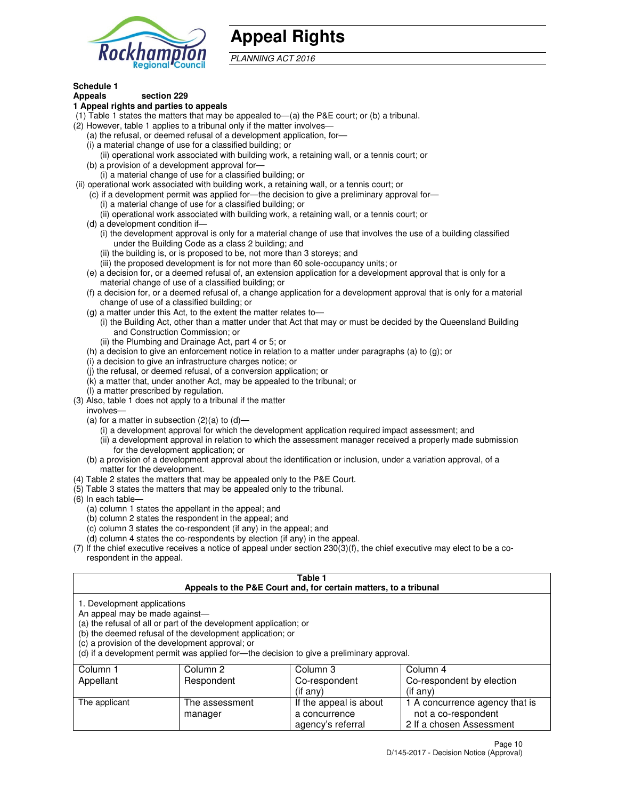

# **Appeal Rights**

PLANNING ACT 2016

#### **Schedule 1 Appeals section 229**

# **1 Appeal rights and parties to appeals**

- (1) Table 1 states the matters that may be appealed to—(a) the P&E court; or (b) a tribunal.
- (2) However, table 1 applies to a tribunal only if the matter involves—
	- (a) the refusal, or deemed refusal of a development application, for—
	- (i) a material change of use for a classified building; or
	- (ii) operational work associated with building work, a retaining wall, or a tennis court; or (b) a provision of a development approval for—
	- (i) a material change of use for a classified building; or
- (ii) operational work associated with building work, a retaining wall, or a tennis court; or
	- (c) if a development permit was applied for—the decision to give a preliminary approval for—
		- (i) a material change of use for a classified building; or
		- (ii) operational work associated with building work, a retaining wall, or a tennis court; or
	- (d) a development condition if—
		- (i) the development approval is only for a material change of use that involves the use of a building classified under the Building Code as a class 2 building; and
		- (ii) the building is, or is proposed to be, not more than 3 storeys; and
		- (iii) the proposed development is for not more than 60 sole-occupancy units; or
	- (e) a decision for, or a deemed refusal of, an extension application for a development approval that is only for a material change of use of a classified building; or
	- (f) a decision for, or a deemed refusal of, a change application for a development approval that is only for a material change of use of a classified building; or
	- (g) a matter under this Act, to the extent the matter relates to—
		- (i) the Building Act, other than a matter under that Act that may or must be decided by the Queensland Building and Construction Commission; or
		- (ii) the Plumbing and Drainage Act, part 4 or 5; or
	- (h) a decision to give an enforcement notice in relation to a matter under paragraphs (a) to (g); or
	- (i) a decision to give an infrastructure charges notice; or
	- (j) the refusal, or deemed refusal, of a conversion application; or
	- (k) a matter that, under another Act, may be appealed to the tribunal; or
	- (l) a matter prescribed by regulation.
- (3) Also, table 1 does not apply to a tribunal if the matter
- involves—
	- (a) for a matter in subsection  $(2)(a)$  to  $(d)$ 
		- (i) a development approval for which the development application required impact assessment; and
		- (ii) a development approval in relation to which the assessment manager received a properly made submission for the development application; or
	- (b) a provision of a development approval about the identification or inclusion, under a variation approval, of a matter for the development.
- (4) Table 2 states the matters that may be appealed only to the P&E Court.
- (5) Table 3 states the matters that may be appealed only to the tribunal.
- (6) In each table—
	- (a) column 1 states the appellant in the appeal; and
	- (b) column 2 states the respondent in the appeal; and
	- (c) column 3 states the co-respondent (if any) in the appeal; and
	- (d) column 4 states the co-respondents by election (if any) in the appeal.
- (7) If the chief executive receives a notice of appeal under section 230(3)(f), the chief executive may elect to be a corespondent in the appeal.

## **Table 1**

| Appeals to the P&E Court and, for certain matters, to a tribunal                                                 |                                                                                                                                |                                                                                          |                                                       |  |
|------------------------------------------------------------------------------------------------------------------|--------------------------------------------------------------------------------------------------------------------------------|------------------------------------------------------------------------------------------|-------------------------------------------------------|--|
| 1. Development applications<br>An appeal may be made against-<br>(c) a provision of the development approval; or | (a) the refusal of all or part of the development application; or<br>(b) the deemed refusal of the development application; or | (d) if a development permit was applied for—the decision to give a preliminary approval. |                                                       |  |
| Column 1                                                                                                         | Column 2                                                                                                                       | Column 3                                                                                 | Column 4                                              |  |
| Appellant                                                                                                        | Respondent                                                                                                                     | Co-respondent                                                                            | Co-respondent by election                             |  |
|                                                                                                                  |                                                                                                                                | $($ if any $)$                                                                           | $($ if any $)$                                        |  |
| The applicant                                                                                                    | The assessment<br>manager                                                                                                      | If the appeal is about<br>a concurrence                                                  | 1 A concurrence agency that is<br>not a co-respondent |  |

agency's referral

2 If a chosen Assessment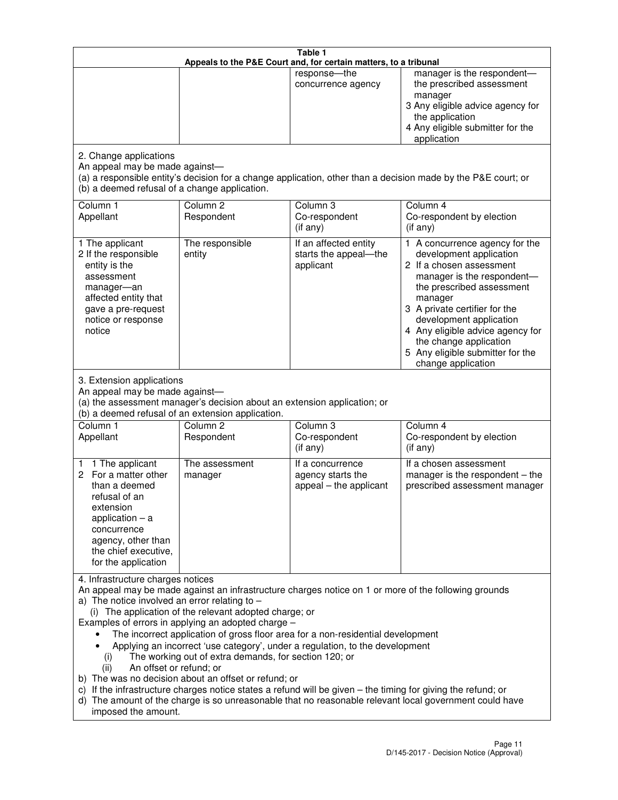|                                                                                                                                                                                                      |                                                                                                                                                                                                                               | Table 1<br>Appeals to the P&E Court and, for certain matters, to a tribunal                                                                                                                                                                                                     |                                                                                                                                                                                                                                                                                                                                                 |
|------------------------------------------------------------------------------------------------------------------------------------------------------------------------------------------------------|-------------------------------------------------------------------------------------------------------------------------------------------------------------------------------------------------------------------------------|---------------------------------------------------------------------------------------------------------------------------------------------------------------------------------------------------------------------------------------------------------------------------------|-------------------------------------------------------------------------------------------------------------------------------------------------------------------------------------------------------------------------------------------------------------------------------------------------------------------------------------------------|
|                                                                                                                                                                                                      |                                                                                                                                                                                                                               | response-the<br>concurrence agency                                                                                                                                                                                                                                              | manager is the respondent-<br>the prescribed assessment<br>manager<br>3 Any eligible advice agency for<br>the application<br>4 Any eligible submitter for the<br>application                                                                                                                                                                    |
| 2. Change applications<br>An appeal may be made against-<br>(b) a deemed refusal of a change application.                                                                                            |                                                                                                                                                                                                                               |                                                                                                                                                                                                                                                                                 | (a) a responsible entity's decision for a change application, other than a decision made by the P&E court; or                                                                                                                                                                                                                                   |
| Column 1<br>Appellant                                                                                                                                                                                | Column <sub>2</sub><br>Respondent                                                                                                                                                                                             | Column 3<br>Co-respondent<br>(if any)                                                                                                                                                                                                                                           | Column 4<br>Co-respondent by election<br>(if any)                                                                                                                                                                                                                                                                                               |
| 1 The applicant<br>2 If the responsible<br>entity is the<br>assessment<br>manager-an<br>affected entity that<br>gave a pre-request<br>notice or response<br>notice                                   | The responsible<br>entity                                                                                                                                                                                                     | If an affected entity<br>starts the appeal-the<br>applicant                                                                                                                                                                                                                     | 1 A concurrence agency for the<br>development application<br>2 If a chosen assessment<br>manager is the respondent-<br>the prescribed assessment<br>manager<br>3 A private certifier for the<br>development application<br>4 Any eligible advice agency for<br>the change application<br>5 Any eligible submitter for the<br>change application |
| 3. Extension applications<br>An appeal may be made against-<br>Column 1<br>Appellant                                                                                                                 | (a) the assessment manager's decision about an extension application; or<br>(b) a deemed refusal of an extension application.<br>Column <sub>2</sub><br>Respondent                                                            | Column 3<br>Co-respondent                                                                                                                                                                                                                                                       | Column 4<br>Co-respondent by election                                                                                                                                                                                                                                                                                                           |
| 1 The applicant<br>1<br>2 For a matter other<br>than a deemed<br>refusal of an<br>extension<br>application $-$ a<br>concurrence<br>agency, other than<br>the chief executive,<br>for the application | The assessment<br>manager                                                                                                                                                                                                     | (if any)<br>If a concurrence<br>agency starts the<br>appeal - the applicant                                                                                                                                                                                                     | (if any)<br>If a chosen assessment<br>manager is the respondent $-$ the<br>prescribed assessment manager                                                                                                                                                                                                                                        |
| 4. Infrastructure charges notices<br>a) The notice involved an error relating to $-$<br>(i)<br>An offset or refund; or<br>(ii)<br>imposed the amount.                                                | (i) The application of the relevant adopted charge; or<br>Examples of errors in applying an adopted charge -<br>The working out of extra demands, for section 120; or<br>b) The was no decision about an offset or refund; or | The incorrect application of gross floor area for a non-residential development<br>Applying an incorrect 'use category', under a regulation, to the development<br>c) If the infrastructure charges notice states a refund will be given - the timing for giving the refund; or | An appeal may be made against an infrastructure charges notice on 1 or more of the following grounds<br>d) The amount of the charge is so unreasonable that no reasonable relevant local government could have                                                                                                                                  |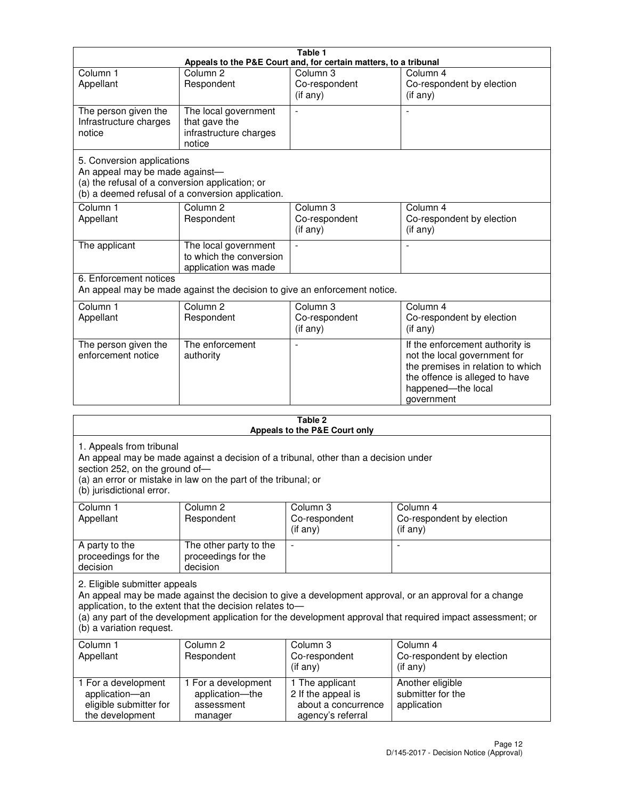|                                                                                                                 |                                                                           | Table 1                                                          |                                                                                                                                                                            |
|-----------------------------------------------------------------------------------------------------------------|---------------------------------------------------------------------------|------------------------------------------------------------------|----------------------------------------------------------------------------------------------------------------------------------------------------------------------------|
|                                                                                                                 |                                                                           | Appeals to the P&E Court and, for certain matters, to a tribunal |                                                                                                                                                                            |
| Column <sub>1</sub><br>Appellant                                                                                | Column <sub>2</sub><br>Respondent                                         | Column 3<br>Co-respondent<br>(if any)                            | Column 4<br>Co-respondent by election<br>(if any)                                                                                                                          |
| The person given the<br>Infrastructure charges<br>notice                                                        | The local government<br>that gave the<br>infrastructure charges<br>notice |                                                                  |                                                                                                                                                                            |
| 5. Conversion applications<br>An appeal may be made against-<br>(a) the refusal of a conversion application; or | (b) a deemed refusal of a conversion application.                         |                                                                  |                                                                                                                                                                            |
| Column <sub>1</sub><br>Appellant                                                                                | Column <sub>2</sub><br>Respondent                                         | Column <sub>3</sub><br>Co-respondent<br>(if any)                 | Column 4<br>Co-respondent by election<br>(i f any)                                                                                                                         |
| The applicant                                                                                                   | The local government<br>to which the conversion<br>application was made   |                                                                  |                                                                                                                                                                            |
| 6. Enforcement notices                                                                                          | An appeal may be made against the decision to give an enforcement notice. |                                                                  |                                                                                                                                                                            |
| Column <sub>1</sub><br>Appellant                                                                                | Column <sub>2</sub><br>Respondent                                         | Column 3<br>Co-respondent<br>(if any)                            | Column 4<br>Co-respondent by election<br>(if any)                                                                                                                          |
| The person given the<br>enforcement notice                                                                      | The enforcement<br>authority                                              |                                                                  | If the enforcement authority is<br>not the local government for<br>the premises in relation to which<br>the offence is alleged to have<br>happened-the local<br>government |
|                                                                                                                 |                                                                           | 9 Tahle                                                          |                                                                                                                                                                            |

|                                                                                         |                                                                                                                                                       | i avic 4<br>Appeals to the P&E Court only                                         |                                                                                                                                                                                                                        |
|-----------------------------------------------------------------------------------------|-------------------------------------------------------------------------------------------------------------------------------------------------------|-----------------------------------------------------------------------------------|------------------------------------------------------------------------------------------------------------------------------------------------------------------------------------------------------------------------|
| 1. Appeals from tribunal<br>section 252, on the ground of-<br>(b) jurisdictional error. | An appeal may be made against a decision of a tribunal, other than a decision under<br>(a) an error or mistake in law on the part of the tribunal; or |                                                                                   |                                                                                                                                                                                                                        |
| Column 1<br>Appellant                                                                   | Column <sub>2</sub><br>Respondent                                                                                                                     | Column <sub>3</sub><br>Co-respondent<br>(i f any)                                 | Column 4<br>Co-respondent by election<br>(if any)                                                                                                                                                                      |
| A party to the<br>proceedings for the<br>decision                                       | The other party to the<br>proceedings for the<br>decision                                                                                             | $\overline{\phantom{0}}$                                                          |                                                                                                                                                                                                                        |
| 2. Eligible submitter appeals<br>(b) a variation request.                               | application, to the extent that the decision relates to-                                                                                              |                                                                                   | An appeal may be made against the decision to give a development approval, or an approval for a change<br>(a) any part of the development application for the development approval that required impact assessment; or |
| Column 1<br>Appellant                                                                   | Column <sub>2</sub><br>Respondent                                                                                                                     | Column 3<br>Co-respondent<br>(if any)                                             | Column 4<br>Co-respondent by election<br>$($ if any $)$                                                                                                                                                                |
| 1 For a development<br>application-an<br>eligible submitter for<br>the development      | 1 For a development<br>application-the<br>assessment<br>manager                                                                                       | 1 The applicant<br>2 If the appeal is<br>about a concurrence<br>agency's referral | Another eligible<br>submitter for the<br>application                                                                                                                                                                   |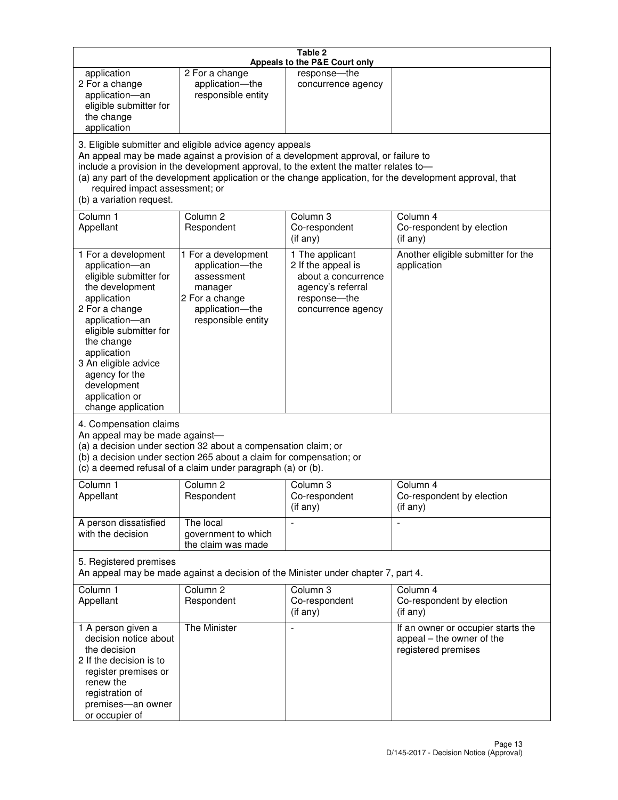|                                                                                                                                                                                                                                                                                               |                                                                                                                                                                                                                                         | Table 2<br>Appeals to the P&E Court only                                                                                |                                                                                                           |
|-----------------------------------------------------------------------------------------------------------------------------------------------------------------------------------------------------------------------------------------------------------------------------------------------|-----------------------------------------------------------------------------------------------------------------------------------------------------------------------------------------------------------------------------------------|-------------------------------------------------------------------------------------------------------------------------|-----------------------------------------------------------------------------------------------------------|
| application<br>2 For a change<br>application-an<br>eligible submitter for<br>the change<br>application                                                                                                                                                                                        | 2 For a change<br>application-the<br>responsible entity                                                                                                                                                                                 | response-the<br>concurrence agency                                                                                      |                                                                                                           |
| required impact assessment; or<br>(b) a variation request.                                                                                                                                                                                                                                    | 3. Eligible submitter and eligible advice agency appeals<br>An appeal may be made against a provision of a development approval, or failure to<br>include a provision in the development approval, to the extent the matter relates to- |                                                                                                                         | (a) any part of the development application or the change application, for the development approval, that |
| Column 1<br>Appellant                                                                                                                                                                                                                                                                         | Column <sub>2</sub><br>Respondent                                                                                                                                                                                                       | Column 3<br>Co-respondent<br>(if any)                                                                                   | Column 4<br>Co-respondent by election<br>(i f any)                                                        |
| 1 For a development<br>application-an<br>eligible submitter for<br>the development<br>application<br>2 For a change<br>application-an<br>eligible submitter for<br>the change<br>application<br>3 An eligible advice<br>agency for the<br>development<br>application or<br>change application | 1 For a development<br>application-the<br>assessment<br>manager<br>2 For a change<br>application-the<br>responsible entity                                                                                                              | 1 The applicant<br>2 If the appeal is<br>about a concurrence<br>agency's referral<br>response-the<br>concurrence agency | Another eligible submitter for the<br>application                                                         |
| 4. Compensation claims<br>An appeal may be made against-                                                                                                                                                                                                                                      | (a) a decision under section 32 about a compensation claim; or<br>(b) a decision under section 265 about a claim for compensation; or<br>(c) a deemed refusal of a claim under paragraph (a) or (b).                                    |                                                                                                                         |                                                                                                           |
| Column 1<br>Appellant                                                                                                                                                                                                                                                                         | Column 2<br>Respondent                                                                                                                                                                                                                  | Column 3<br>Co-respondent<br>(if any)                                                                                   | Column 4<br>Co-respondent by election<br>(i f any)                                                        |
| A person dissatisfied<br>with the decision                                                                                                                                                                                                                                                    | The local<br>government to which<br>the claim was made                                                                                                                                                                                  |                                                                                                                         | $\blacksquare$                                                                                            |
| 5. Registered premises                                                                                                                                                                                                                                                                        | An appeal may be made against a decision of the Minister under chapter 7, part 4.                                                                                                                                                       |                                                                                                                         |                                                                                                           |
| Column <sub>1</sub><br>Appellant                                                                                                                                                                                                                                                              | Column <sub>2</sub><br>Respondent                                                                                                                                                                                                       | Column 3<br>Co-respondent<br>(if any)                                                                                   | Column 4<br>Co-respondent by election<br>(if any)                                                         |
| 1 A person given a<br>decision notice about<br>the decision<br>2 If the decision is to<br>register premises or<br>renew the<br>registration of<br>premises-an owner<br>or occupier of                                                                                                         | The Minister                                                                                                                                                                                                                            | $\overline{\phantom{a}}$                                                                                                | If an owner or occupier starts the<br>appeal – the owner of the<br>registered premises                    |